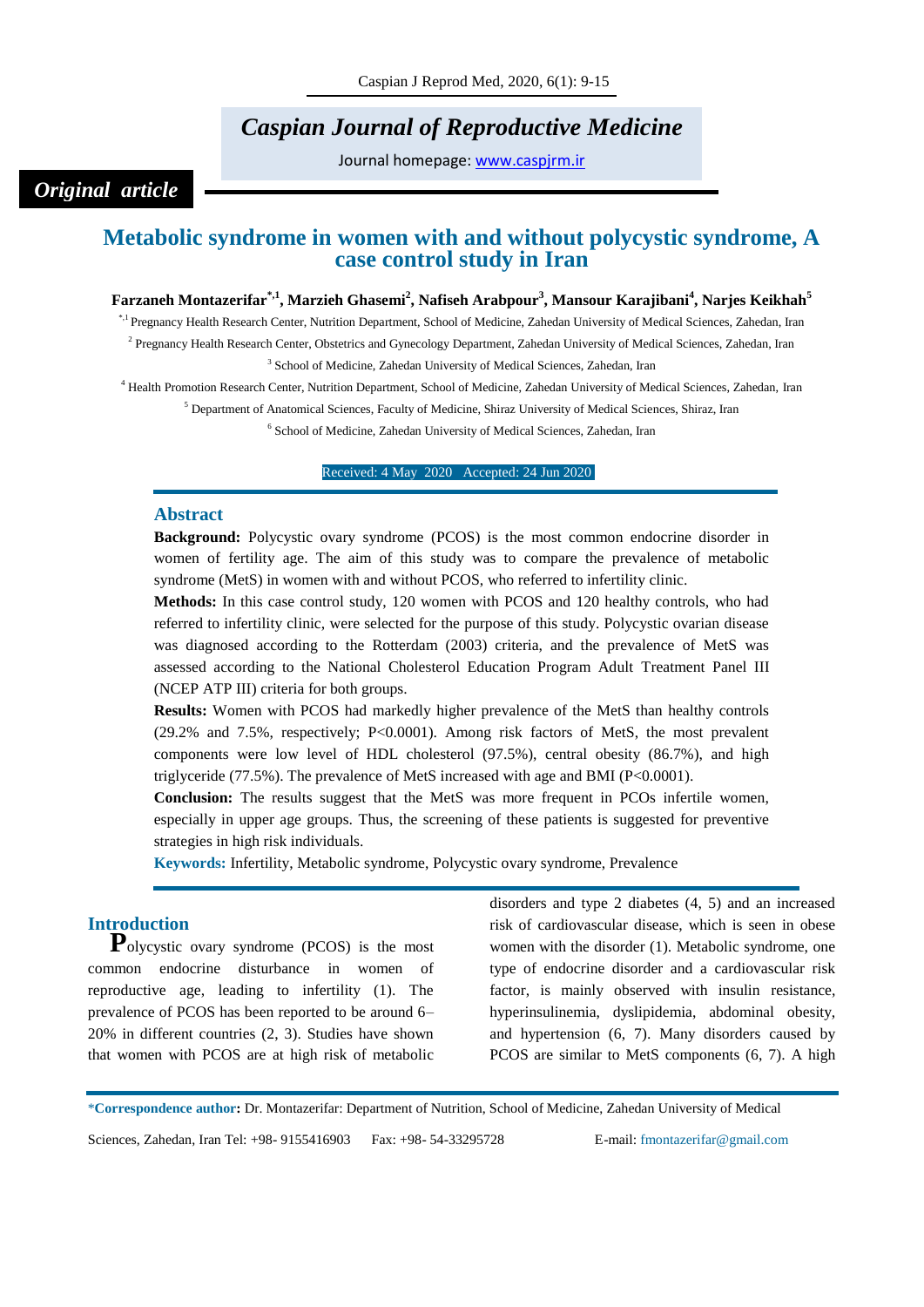# *Caspian Journal of Reproductive Medicine*

Journal homepage: [www.caspjrm.ir](http://www.caspjrm.ir/)

## *Original article*

## **Metabolic syndrome in women with and without polycystic syndrome, A case control study in Iran**

### **Farzaneh Montazerifar\*,1, Marzieh Ghasemi<sup>2</sup> , Nafiseh Arabpour<sup>3</sup> , Mansour Karajibani<sup>4</sup> , Narjes Keikhah<sup>5</sup>**

\*,1 Pregnancy Health Research Center, Nutrition Department, School of Medicine, Zahedan University of Medical Sciences, Zahedan, Iran <sup>2</sup> Pregnancy Health Research Center, Obstetrics and Gynecology Department, Zahedan University of Medical Sciences, Zahedan, Iran

<sup>3</sup> School of Medicine, Zahedan University of Medical Sciences, Zahedan, Iran

<sup>4</sup> Health Promotion Research Center, Nutrition Department, School of Medicine, Zahedan University of Medical Sciences, Zahedan, Iran

<sup>5</sup> Department of Anatomical Sciences, Faculty of Medicine, Shiraz University of Medical Sciences, Shiraz, Iran

6 School of Medicine, Zahedan University of Medical Sciences, Zahedan, Iran

Received: 4 May 2020 Accepted: 24 Jun 2020

#### **Abstract**

**Background:** Polycystic ovary syndrome (PCOS) is the most common endocrine disorder in women of fertility age. The aim of this study was to compare the prevalence of metabolic syndrome (MetS) in women with and without PCOS, who referred to infertility clinic.

**Methods:** In this case control study, 120 women with PCOS and 120 healthy controls, who had referred to infertility clinic, were selected for the purpose of this study. Polycystic ovarian disease was diagnosed according to the Rotterdam (2003) criteria, and the prevalence of MetS was assessed according to the National Cholesterol Education Program Adult Treatment Panel III (NCEP ATP III) criteria for both groups.

**Results:** Women with PCOS had markedly higher prevalence of the MetS than healthy controls (29.2% and 7.5%, respectively; P<0.0001). Among risk factors of MetS, the most prevalent components were low level of HDL cholesterol (97.5%), central obesity (86.7%), and high triglyceride (77.5%). The prevalence of MetS increased with age and BMI (P<0.0001).

**Conclusion:** The results suggest that the MetS was more frequent in PCOs infertile women, especially in upper age groups. Thus, the screening of these patients is suggested for preventive strategies in high risk individuals.

**Keywords:** Infertility, Metabolic syndrome, Polycystic ovary syndrome, Prevalence

## **Introduction**

**P**olycystic ovary syndrome (PCOS) is the most common endocrine disturbance in women of reproductive age, leading to infertility (1). The prevalence of PCOS has been reported to be around 6– 20% in different countries (2, 3). Studies have shown that women with PCOS are at high risk of metabolic

disorders and type 2 diabetes (4, 5) and an increased risk of cardiovascular disease, which is seen in obese women with the disorder (1). Metabolic syndrome, one type of endocrine disorder and a cardiovascular risk factor, is mainly observed with insulin resistance, hyperinsulinemia, dyslipidemia, abdominal obesity, and hypertension (6, 7). Many disorders caused by PCOS are similar to MetS components  $(6, 7)$ . A high

\***Correspondence author:** Dr. Montazerifar: Department of Nutrition, School of Medicine, Zahedan University of Medical

Sciences, Zahedan, Iran Tel: +98- 9155416903 Fax: +98- 54-33295728 E-mail: fmontazerifar@gmail.com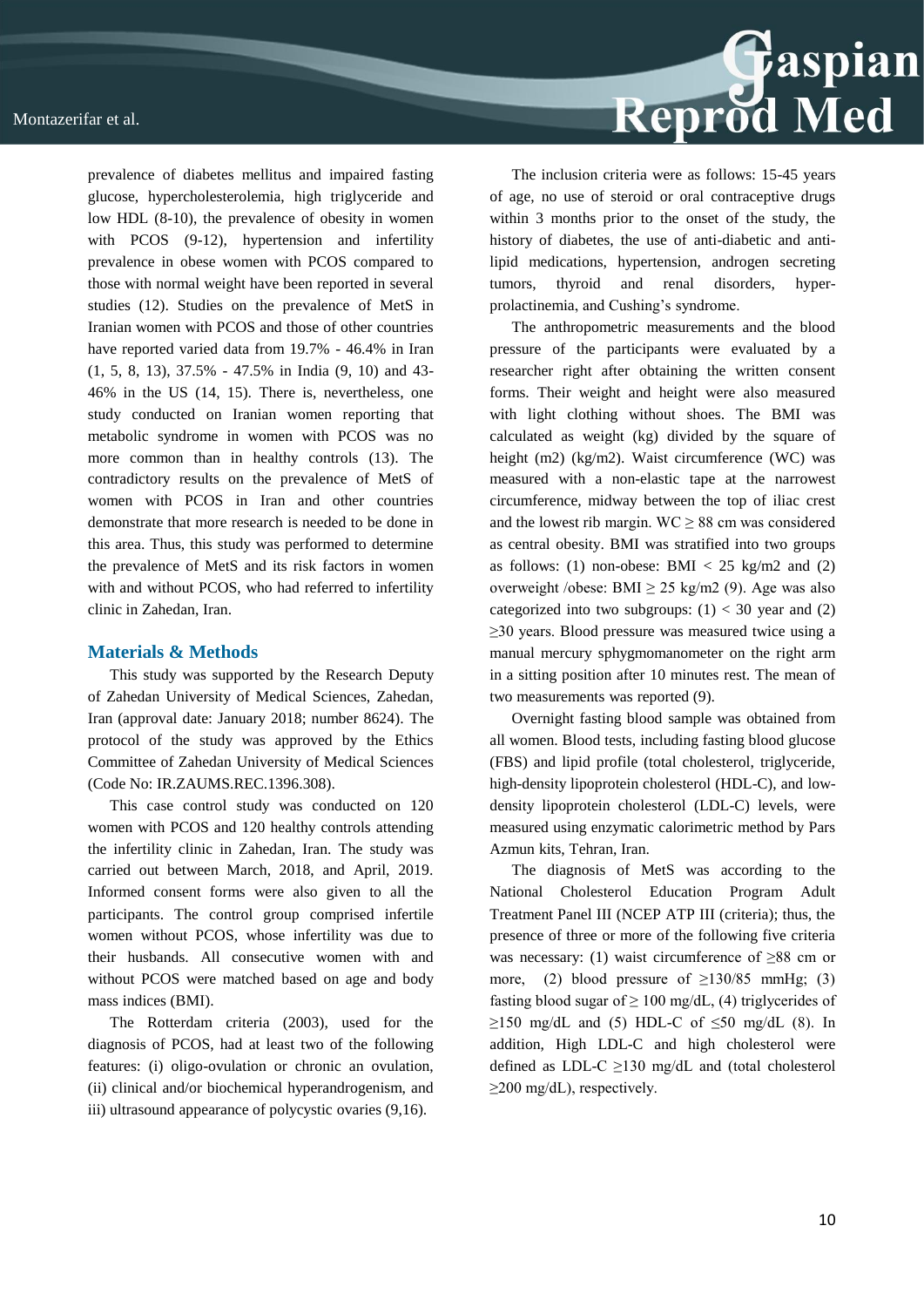prevalence of diabetes mellitus and impaired fasting glucose, hypercholesterolemia, high triglyceride and low HDL (8-10), the prevalence of obesity in women with PCOS (9-12), hypertension and infertility prevalence in obese women with PCOS compared to those with normal weight have been reported in several studies (12). Studies on the prevalence of MetS in Iranian women with PCOS and those of other countries have reported varied data from 19.7% - 46.4% in Iran (1, 5, 8, 13), 37.5% - 47.5% in India (9, 10) and 43- 46% in the US (14, 15). There is, nevertheless, one study conducted on Iranian women reporting that metabolic syndrome in women with PCOS was no more common than in healthy controls (13). The contradictory results on the prevalence of MetS of women with PCOS in Iran and other countries demonstrate that more research is needed to be done in this area. Thus, this study was performed to determine the prevalence of MetS and its risk factors in women with and without PCOS, who had referred to infertility clinic in Zahedan, Iran.

#### **Materials & Methods**

This study was supported by the Research Deputy of Zahedan University of Medical Sciences, Zahedan, Iran (approval date: January 2018; number 8624). The protocol of the study was approved by the Ethics Committee of Zahedan University of Medical Sciences (Code No: IR.ZAUMS.REC.1396.308).

This case control study was conducted on 120 women with PCOS and 120 healthy controls attending the infertility clinic in Zahedan, Iran. The study was carried out between March, 2018, and April, 2019. Informed consent forms were also given to all the participants. The control group comprised infertile women without PCOS, whose infertility was due to their husbands. All consecutive women with and without PCOS were matched based on age and body mass indices (BMI).

The Rotterdam criteria (2003), used for the diagnosis of PCOS, had at least two of the following features: (i) oligo-ovulation or chronic an ovulation, (ii) clinical and/or biochemical hyperandrogenism, and iii) ultrasound appearance of polycystic ovaries (9,16).



The inclusion criteria were as follows: 15-45 years of age, no use of steroid or oral contraceptive drugs within 3 months prior to the onset of the study, the history of diabetes, the use of anti-diabetic and antilipid medications, hypertension, androgen secreting tumors, thyroid and renal disorders, hyperprolactinemia, and Cushing's syndrome.

The anthropometric measurements and the blood pressure of the participants were evaluated by a researcher right after obtaining the written consent forms. Their weight and height were also measured with light clothing without shoes. The BMI was calculated as weight (kg) divided by the square of height (m2) (kg/m2). Waist circumference (WC) was measured with a non-elastic tape at the narrowest circumference, midway between the top of iliac crest and the lowest rib margin.  $WC \ge 88$  cm was considered as central obesity. BMI was stratified into two groups as follows: (1) non-obese: BMI  $<$  25 kg/m2 and (2) overweight /obese: BMI  $\geq$  25 kg/m2 (9). Age was also categorized into two subgroups:  $(1)$  < 30 year and  $(2)$ ≥30 years. Blood pressure was measured twice using a manual mercury sphygmomanometer on the right arm in a sitting position after 10 minutes rest. The mean of two measurements was reported (9).

Overnight fasting blood sample was obtained from all women. Blood tests, including fasting blood glucose (FBS) and lipid profile (total cholesterol, triglyceride, high-density lipoprotein cholesterol (HDL-C), and lowdensity lipoprotein cholesterol (LDL-C) levels, were measured using enzymatic calorimetric method by Pars Azmun kits, Tehran, Iran.

The diagnosis of MetS was according to the National Cholesterol Education Program Adult Treatment Panel III (NCEP ATP III (criteria); thus, the presence of three or more of the following five criteria was necessary: (1) waist circumference of ≥88 cm or more, (2) blood pressure of  $\geq$ 130/85 mmHg; (3) fasting blood sugar of  $\geq 100$  mg/dL, (4) triglycerides of  $\geq$ 150 mg/dL and (5) HDL-C of  $\leq$ 50 mg/dL (8). In addition, High LDL-C and high cholesterol were defined as LDL-C  $\geq$ 130 mg/dL and (total cholesterol  $\geq$ 200 mg/dL), respectively.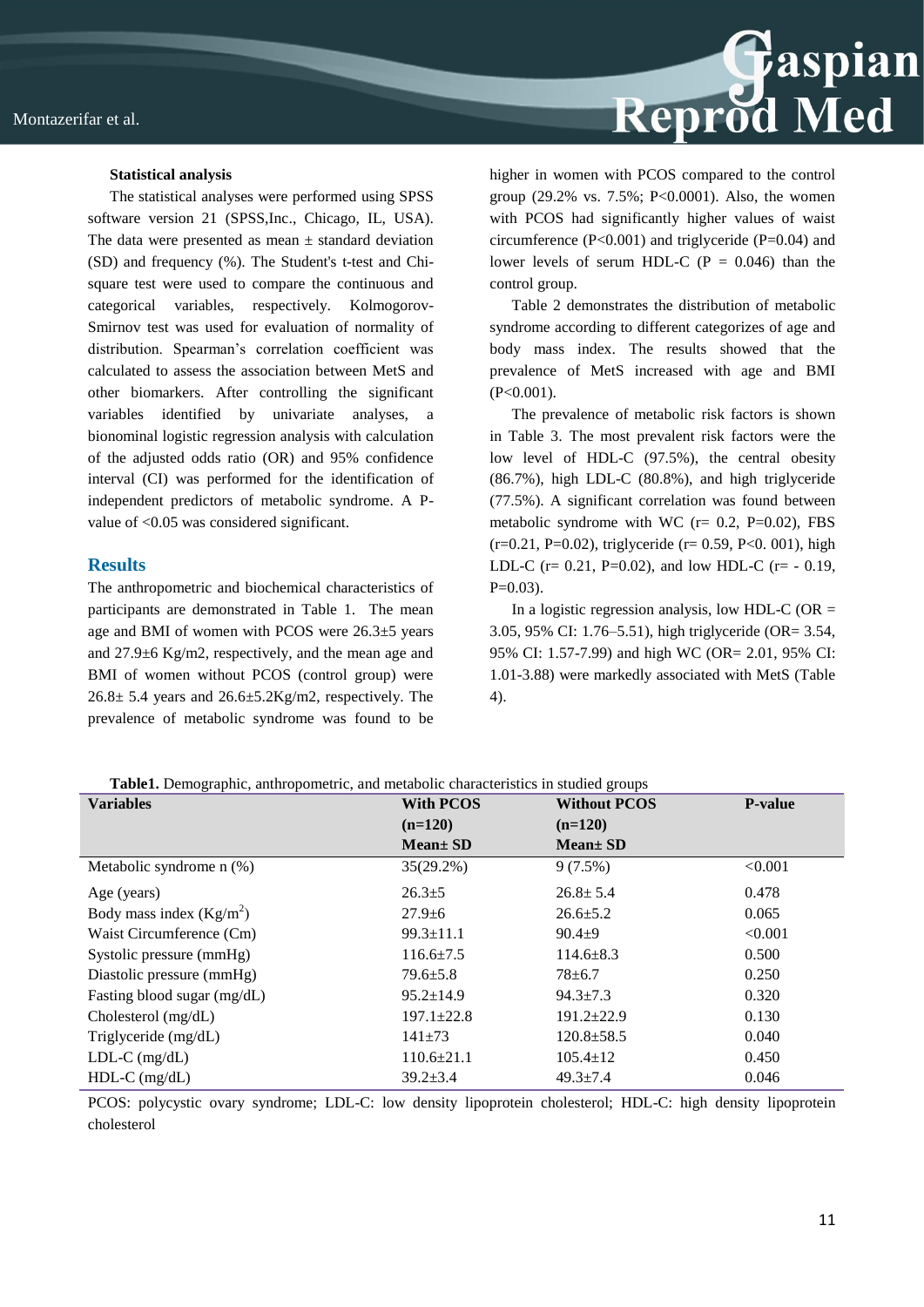

#### **Statistical analysis**

The statistical analyses were performed using SPSS software version 21 (SPSS,Inc., Chicago, IL, USA). The data were presented as mean  $\pm$  standard deviation (SD) and frequency (%). The Student's t-test and Chisquare test were used to compare the continuous and categorical variables, respectively. Kolmogorov-Smirnov test was used for evaluation of normality of distribution. Spearman's correlation coefficient was calculated to assess the association between MetS and other biomarkers. After controlling the significant variables identified by univariate analyses, a bionominal logistic regression analysis with calculation of the adjusted odds ratio (OR) and 95% confidence interval (CI) was performed for the identification of independent predictors of metabolic syndrome. A Pvalue of <0.05 was considered significant.

#### **Results**

The anthropometric and biochemical characteristics of participants are demonstrated in Table 1. The mean age and BMI of women with PCOS were 26.3±5 years and 27.9±6 Kg/m2, respectively, and the mean age and BMI of women without PCOS (control group) were  $26.8 \pm 5.4$  years and  $26.6 \pm 5.2$ Kg/m2, respectively. The prevalence of metabolic syndrome was found to be

higher in women with PCOS compared to the control group (29.2% vs. 7.5%; P<0.0001). Also, the women with PCOS had significantly higher values of waist circumference (P<0.001) and triglyceride (P=0.04) and lower levels of serum HDL-C ( $P = 0.046$ ) than the control group.

Table 2 demonstrates the distribution of metabolic syndrome according to different categorizes of age and body mass index. The results showed that the prevalence of MetS increased with age and BMI (P<0.001).

The prevalence of metabolic risk factors is shown in Table 3. The most prevalent risk factors were the low level of HDL-C (97.5%), the central obesity (86.7%), high LDL-C (80.8%), and high triglyceride (77.5%). A significant correlation was found between metabolic syndrome with WC ( $r = 0.2$ , P=0.02), FBS  $(r=0.21, P=0.02)$ , triglyceride  $(r= 0.59, P<0.001)$ , high LDL-C ( $r = 0.21$ , P=0.02), and low HDL-C ( $r = -0.19$ ,  $P=0.03$ ).

In a logistic regression analysis, low HDL-C ( $OR =$ 3.05, 95% CI: 1.76–5.51), high triglyceride (OR= 3.54, 95% CI: 1.57-7.99) and high WC (OR= 2.01, 95% CI: 1.01-3.88) were markedly associated with MetS (Table 4).

|  |  | Table1. Demographic, anthropometric, and metabolic characteristics in studied groups |  |  |  |  |  |
|--|--|--------------------------------------------------------------------------------------|--|--|--|--|--|
|--|--|--------------------------------------------------------------------------------------|--|--|--|--|--|

| Tubles, Denographie, antin opometrie, and metaoone enaracteristics in staticts groups<br><b>Variables</b> | <b>With PCOS</b> | <b>Without PCOS</b> | <b>P-value</b> |
|-----------------------------------------------------------------------------------------------------------|------------------|---------------------|----------------|
|                                                                                                           | $(n=120)$        | $(n=120)$           |                |
|                                                                                                           | $Mean \pm SD$    | $Mean \pm SD$       |                |
| Metabolic syndrome $n$ (%)                                                                                | 35(29.2%)        | $9(7.5\%)$          | < 0.001        |
| Age (years)                                                                                               | $26.3 \pm 5$     | $26.8 \pm 5.4$      | 0.478          |
| Body mass index $(Kg/m2)$                                                                                 | $27.9 \pm 6$     | $26.6 \pm 5.2$      | 0.065          |
| Waist Circumference (Cm)                                                                                  | $99.3 \pm 11.1$  | $90.4 + 9$          | < 0.001        |
| Systolic pressure (mmHg)                                                                                  | $116.6 \pm 7.5$  | $114.6 \pm 8.3$     | 0.500          |
| Diastolic pressure (mmHg)                                                                                 | $79.6 \pm 5.8$   | $78 + 6.7$          | 0.250          |
| Fasting blood sugar (mg/dL)                                                                               | $95.2 \pm 14.9$  | $94.3 \pm 7.3$      | 0.320          |
| Cholesterol $(mg/dL)$                                                                                     | $197.1 \pm 22.8$ | $191.2 \pm 22.9$    | 0.130          |
| Triglyceride (mg/dL)                                                                                      | $141\pm 73$      | $120.8 \pm 58.5$    | 0.040          |
| $LDL-C$ (mg/dL)                                                                                           | $110.6 \pm 21.1$ | $105.4 \pm 12$      | 0.450          |
| $HDL-C$ (mg/dL)                                                                                           | $39.2 \pm 3.4$   | $49.3 \pm 7.4$      | 0.046          |

PCOS: polycystic ovary syndrome; LDL-C: low density lipoprotein cholesterol; HDL-C: high density lipoprotein cholesterol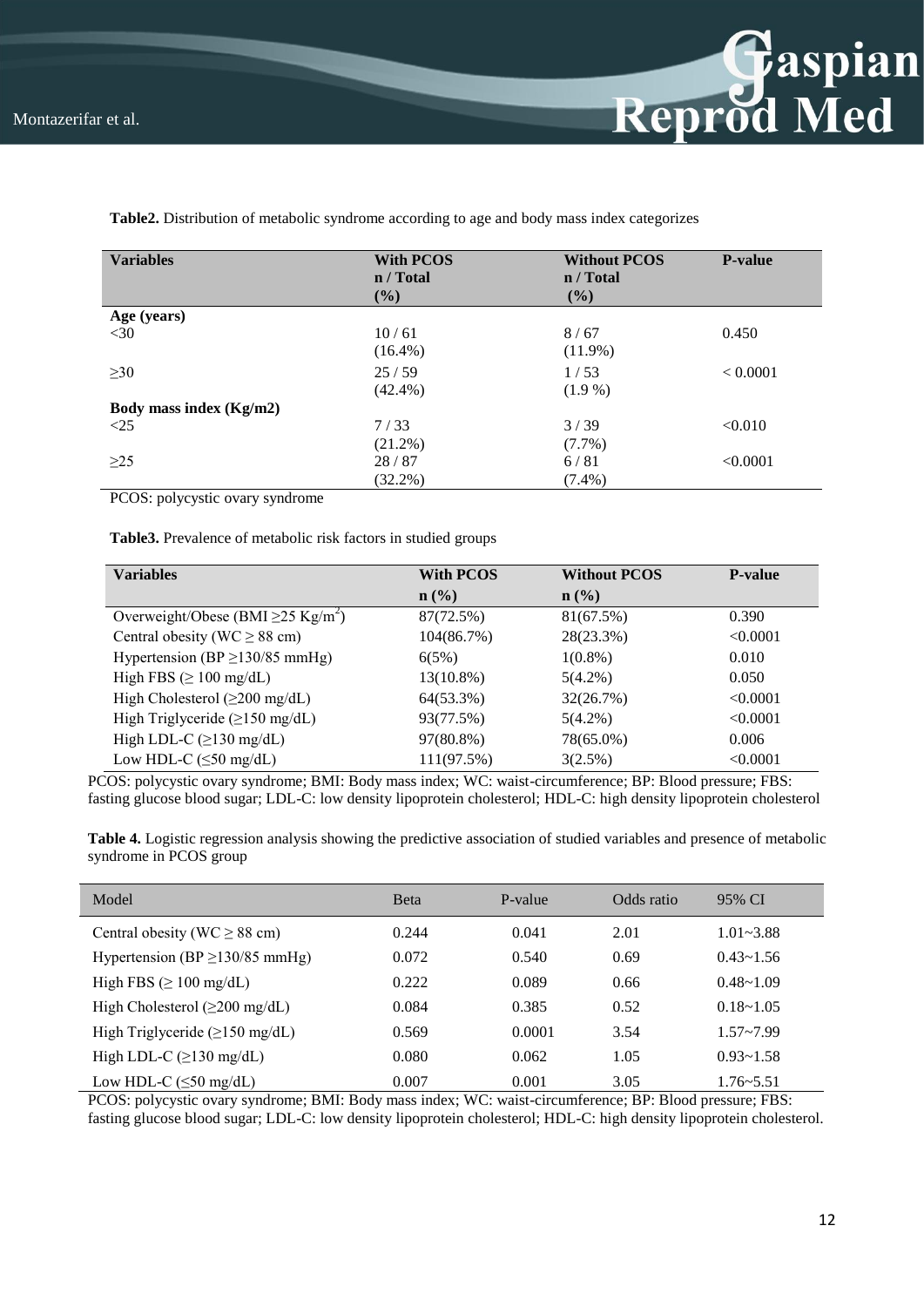

| <b>Variables</b>        | <b>With PCOS</b><br>n / Total<br>$(\%)$ | <b>Without PCOS</b><br>n / Total<br>$(\%)$ | <b>P-value</b> |
|-------------------------|-----------------------------------------|--------------------------------------------|----------------|
| Age (years)             |                                         |                                            |                |
| $<$ 30                  | 10/61                                   | 8/67                                       | 0.450          |
|                         | $(16.4\%)$                              | $(11.9\%)$                                 |                |
| $\geq 30$               | 25/59                                   | 1/53                                       | < 0.0001       |
|                         | $(42.4\%)$                              | $(1.9\%)$                                  |                |
| Body mass index (Kg/m2) |                                         |                                            |                |
| <25                     | 7/33                                    | 3/39                                       | < 0.010        |
|                         | $(21.2\%)$                              | $(7.7\%)$                                  |                |
| $\geq$ 25               | 28/87                                   | 6/81                                       | < 0.0001       |
|                         | $(32.2\%)$                              | $(7.4\%)$                                  |                |

**Table2.** Distribution of metabolic syndrome according to age and body mass index categorizes

PCOS: polycystic ovary syndrome

**Table3.** Prevalence of metabolic risk factors in studied groups

| <b>Variables</b>                                    | <b>With PCOS</b> | <b>Without PCOS</b> | <b>P</b> -value |
|-----------------------------------------------------|------------------|---------------------|-----------------|
|                                                     | $\mathbf{n}(\%)$ | $\mathbf{n}(\%)$    |                 |
| Overweight/Obese (BMI $\geq$ 25 Kg/m <sup>2</sup> ) | 87(72.5%)        | 81(67.5%)           | 0.390           |
| Central obesity (WC $\geq$ 88 cm)                   | 104(86.7%)       | 28(23.3%)           | < 0.0001        |
| Hypertension (BP $\geq$ 130/85 mmHg)                | 6(5%)            | $1(0.8\%)$          | 0.010           |
| High FBS $(\geq 100 \text{ mg/dL})$                 | 13(10.8%)        | $5(4.2\%)$          | 0.050           |
| High Cholesterol $(\geq 200 \text{ mg/dL})$         | 64(53.3%)        | 32(26.7%)           | < 0.0001        |
| High Triglyceride $(\geq 150 \text{ mg/dL})$        | 93(77.5%)        | $5(4.2\%)$          | < 0.0001        |
| High LDL-C $(\geq 130 \text{ mg/dL})$               | 97(80.8%)        | 78(65.0%)           | 0.006           |
| Low HDL-C $(\leq 50 \text{ mg/dL})$                 | 111(97.5%)       | 3(2.5%)             | < 0.0001        |

PCOS: polycystic ovary syndrome; BMI: Body mass index; WC: waist-circumference; BP: Blood pressure; FBS: fasting glucose blood sugar; LDL-C: low density lipoprotein cholesterol; HDL-C: high density lipoprotein cholesterol

| Table 4. Logistic regression analysis showing the predictive association of studied variables and presence of metabolic |  |  |
|-------------------------------------------------------------------------------------------------------------------------|--|--|
| syndrome in PCOS group                                                                                                  |  |  |

| Model                                        | <b>B</b> eta | P-value | Odds ratio | 95% CI        |
|----------------------------------------------|--------------|---------|------------|---------------|
| Central obesity (WC $\geq$ 88 cm)            | 0.244        | 0.041   | 2.01       | $1.01 - 3.88$ |
| Hypertension (BP $\geq$ 130/85 mmHg)         | 0.072        | 0.540   | 0.69       | $0.43 - 1.56$ |
| High FBS ( $\geq 100$ mg/dL)                 | 0.222        | 0.089   | 0.66       | $0.48 - 1.09$ |
| High Cholesterol $(\geq 200 \text{ mg/dL})$  | 0.084        | 0.385   | 0.52       | $0.18 - 1.05$ |
| High Triglyceride $(\geq 150 \text{ mg/dL})$ | 0.569        | 0.0001  | 3.54       | $1.57 - 7.99$ |
| High LDL-C $(\geq 130 \text{ mg/dL})$        | 0.080        | 0.062   | 1.05       | $0.93 - 1.58$ |
| Low HDL-C $(\leq 50 \text{ mg/dL})$          | 0.007        | 0.001   | 3.05       | $1.76 - 5.51$ |

PCOS: polycystic ovary syndrome; BMI: Body mass index; WC: waist-circumference; BP: Blood pressure; FBS: fasting glucose blood sugar; LDL-C: low density lipoprotein cholesterol; HDL-C: high density lipoprotein cholesterol.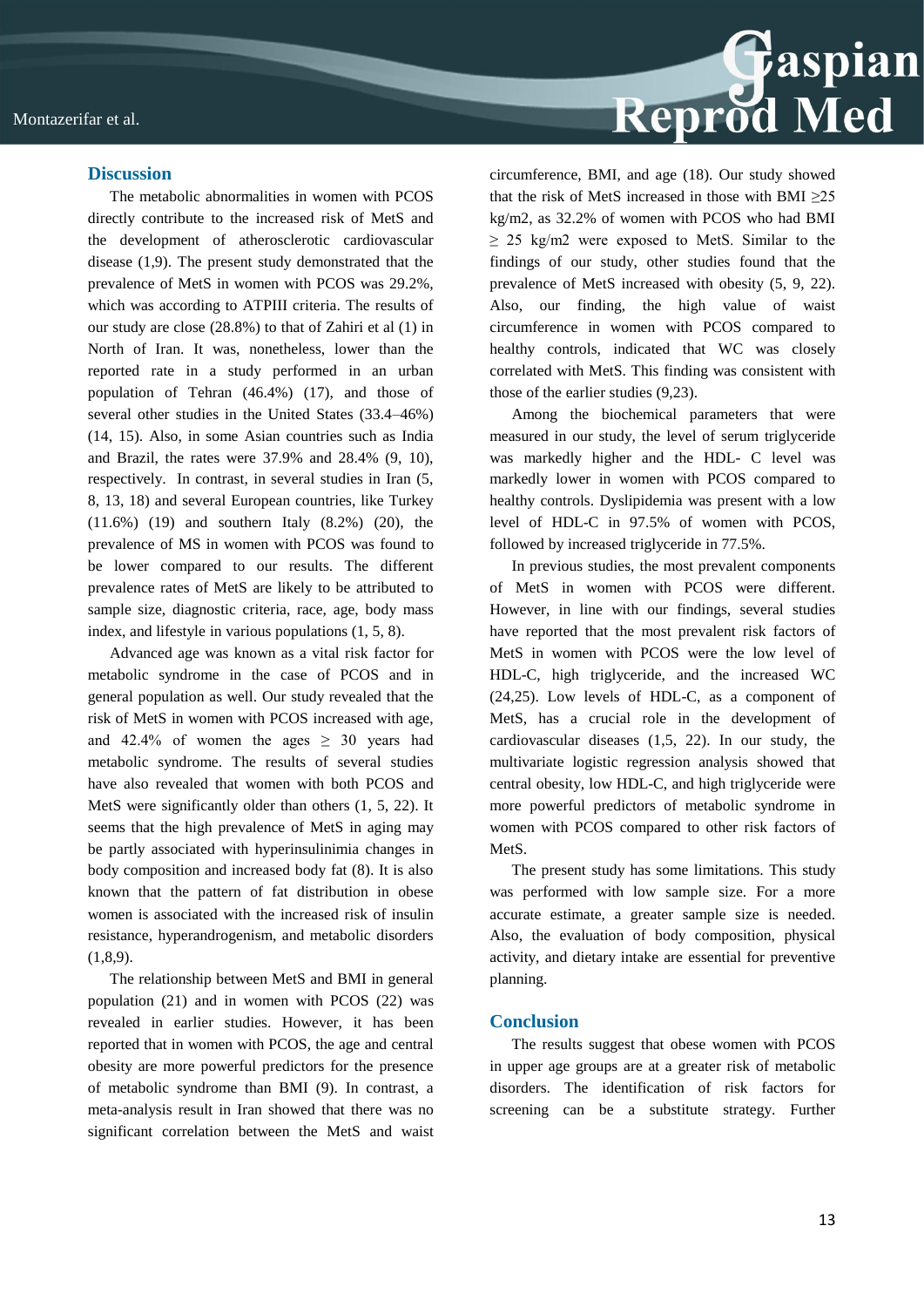

#### **Discussion**

The metabolic abnormalities in women with PCOS directly contribute to the increased risk of MetS and the development of atherosclerotic cardiovascular disease (1,9). The present study demonstrated that the prevalence of MetS in women with PCOS was 29.2%, which was according to ATPIII criteria. The results of our study are close (28.8%) to that of Zahiri et al (1) in North of Iran. It was, nonetheless, lower than the reported rate in a study performed in an urban population of Tehran (46.4%) (17), and those of several other studies in the United States (33.4–46%) (14, 15). Also, in some Asian countries such as India and Brazil, the rates were 37.9% and 28.4% (9, 10), respectively. In contrast, in several studies in Iran (5, 8, 13, 18) and several European countries, like Turkey (11.6%) (19) and southern Italy (8.2%) (20), the prevalence of MS in women with PCOS was found to be lower compared to our results. The different prevalence rates of MetS are likely to be attributed to sample size, diagnostic criteria, race, age, body mass index, and lifestyle in various populations (1, 5, 8).

Advanced age was known as a vital risk factor for metabolic syndrome in the case of PCOS and in general population as well. Our study revealed that the risk of MetS in women with PCOS increased with age, and  $42.4\%$  of women the ages  $> 30$  years had metabolic syndrome. The results of several studies have also revealed that women with both PCOS and MetS were significantly older than others (1, 5, 22). It seems that the high prevalence of MetS in aging may be partly associated with hyperinsulinimia changes in body composition and increased body fat (8). It is also known that the pattern of fat distribution in obese women is associated with the increased risk of insulin resistance, hyperandrogenism, and metabolic disorders  $(1,8,9)$ .

The relationship between MetS and BMI in general population (21) and in women with PCOS (22) was revealed in earlier studies. However, it has been reported that in women with PCOS, the age and central obesity are more powerful predictors for the presence of metabolic syndrome than BMI (9). In contrast, a meta-analysis result in Iran showed that there was no significant correlation between the MetS and waist circumference, BMI, and age (18). Our study showed that the risk of MetS increased in those with BMI  $\geq 25$ kg/m2, as 32.2% of women with PCOS who had BMI  $\geq$  25 kg/m2 were exposed to MetS. Similar to the findings of our study, other studies found that the prevalence of MetS increased with obesity (5, 9, 22). Also, our finding, the high value of waist circumference in women with PCOS compared to healthy controls, indicated that WC was closely correlated with MetS. This finding was consistent with those of the earlier studies (9,23).

Among the biochemical parameters that were measured in our study, the level of serum triglyceride was markedly higher and the HDL- C level was markedly lower in women with PCOS compared to healthy controls. Dyslipidemia was present with a low level of HDL-C in 97.5% of women with PCOS, followed by increased triglyceride in 77.5%.

In previous studies, the most prevalent components of MetS in women with PCOS were different. However, in line with our findings, several studies have reported that the most prevalent risk factors of MetS in women with PCOS were the low level of HDL-C, high triglyceride, and the increased WC (24,25). Low levels of HDL-C, as a component of MetS, has a crucial role in the development of cardiovascular diseases (1,5, 22). In our study, the multivariate logistic regression analysis showed that central obesity, low HDL-C, and high triglyceride were more powerful predictors of metabolic syndrome in women with PCOS compared to other risk factors of MetS.

The present study has some limitations. This study was performed with low sample size. For a more accurate estimate, a greater sample size is needed. Also, the evaluation of body composition, physical activity, and dietary intake are essential for preventive planning.

#### **Conclusion**

The results suggest that obese women with PCOS in upper age groups are at a greater risk of metabolic disorders. The identification of risk factors for screening can be a substitute strategy. Further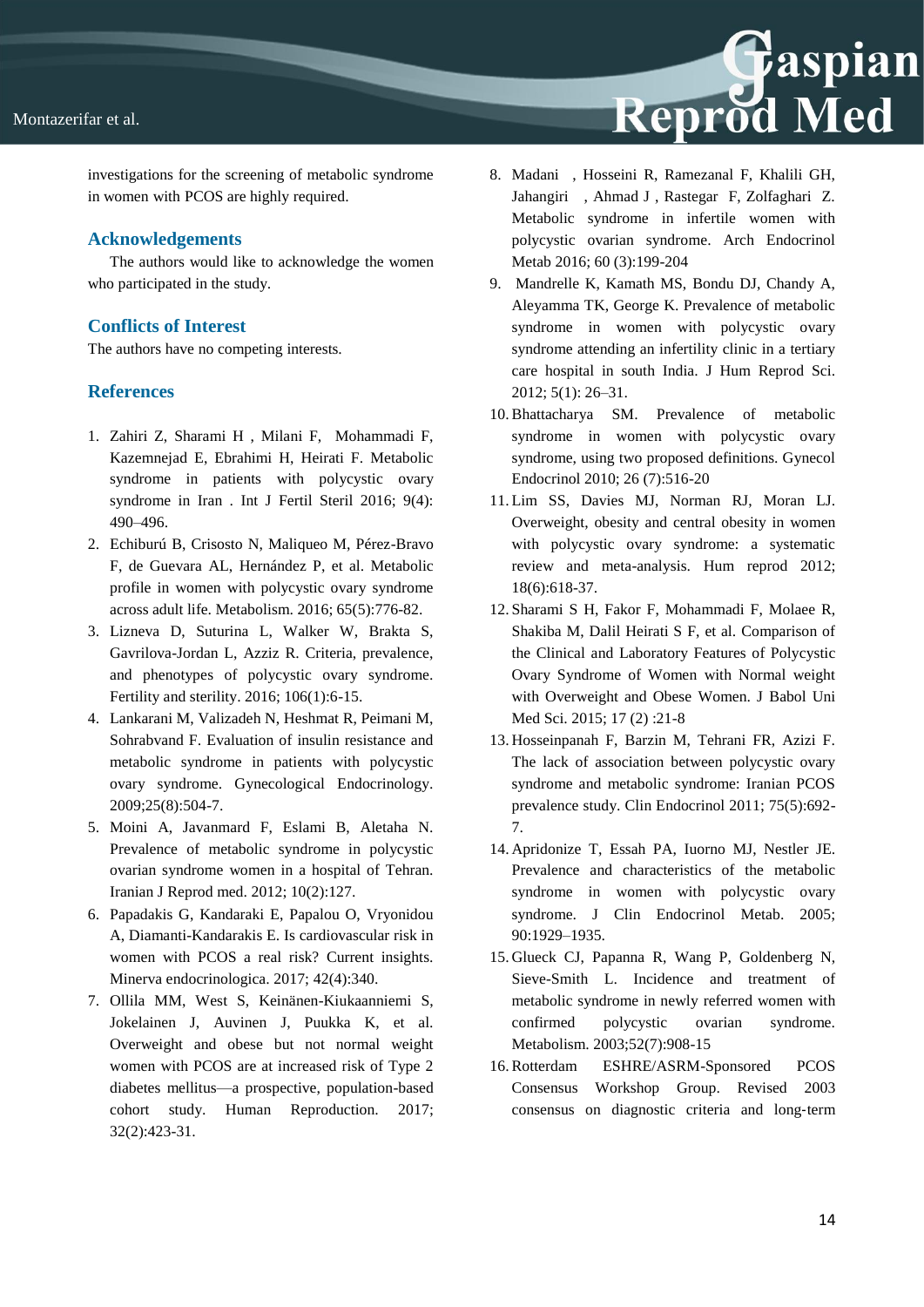



investigations for the screening of metabolic syndrome in women with PCOS are highly required.

### **Acknowledgements**

The authors would like to acknowledge the women who participated in the study.

## **Conflicts of Interest**

The authors have no competing interests.

## **References**

- 1. Zahiri Z, Sharami H , Milani F, Mohammadi F, Kazemnejad E, Ebrahimi H, Heirati F. Metabolic syndrome in patients with polycystic ovary syndrome in Iran . Int J Fertil Steril 2016; 9(4): 490–496.
- 2. Echiburú B, Crisosto N, Maliqueo M, Pérez-Bravo F, de Guevara AL, Hernández P, et al. Metabolic profile in women with polycystic ovary syndrome across adult life. Metabolism. 2016; 65(5):776-82.
- 3. Lizneva D, Suturina L, Walker W, Brakta S, Gavrilova-Jordan L, Azziz R. Criteria, prevalence, and phenotypes of polycystic ovary syndrome. Fertility and sterility. 2016; 106(1):6-15.
- 4. Lankarani M, Valizadeh N, Heshmat R, Peimani M, Sohrabvand F. Evaluation of insulin resistance and metabolic syndrome in patients with polycystic ovary syndrome. Gynecological Endocrinology. 2009;25(8):504-7.
- 5. Moini A, Javanmard F, Eslami B, Aletaha N. Prevalence of metabolic syndrome in polycystic ovarian syndrome women in a hospital of Tehran. Iranian J Reprod med. 2012; 10(2):127.
- 6. Papadakis G, Kandaraki E, Papalou O, Vryonidou A, Diamanti-Kandarakis E. Is cardiovascular risk in women with PCOS a real risk? Current insights. Minerva endocrinologica. 2017; 42(4):340.
- 7. Ollila MM, West S, Keinänen-Kiukaanniemi S, Jokelainen J, Auvinen J, Puukka K, et al. Overweight and obese but not normal weight women with PCOS are at increased risk of Type 2 diabetes mellitus—a prospective, population-based cohort study. Human Reproduction. 2017; 32(2):423-31.
- 8. Madani , Hosseini R, Ramezanal F, Khalili GH, Jahangiri , Ahmad J , Rastegar F, Zolfaghari Z. Metabolic syndrome in infertile women with polycystic ovarian syndrome. Arch Endocrinol Metab 2016; 60 (3):199-204
- 9. Mandrelle K, Kamath MS, Bondu DJ, Chandy A, Aleyamma TK, George K. Prevalence of metabolic syndrome in women with polycystic ovary syndrome attending an infertility clinic in a tertiary care hospital in south India. J Hum Reprod Sci. 2012; 5(1): 26–31.
- 10.Bhattacharya SM. Prevalence of metabolic syndrome in women with polycystic ovary syndrome, using two proposed definitions. Gynecol Endocrinol 2010; 26 (7):516-20
- 11. Lim SS, Davies MJ, Norman RJ, Moran LJ. Overweight, obesity and central obesity in women with polycystic ovary syndrome: a systematic review and meta-analysis. Hum reprod 2012; 18(6):618-37.
- 12. Sharami S H, Fakor F, Mohammadi F, Molaee R, Shakiba M, Dalil Heirati S F, et al. Comparison of the Clinical and Laboratory Features of Polycystic Ovary Syndrome of Women with Normal weight with Overweight and Obese Women. J Babol Uni Med Sci. 2015; 17 (2) :21-8
- 13. Hosseinpanah F, Barzin M, Tehrani FR, Azizi F. The lack of association between polycystic ovary syndrome and metabolic syndrome: Iranian PCOS prevalence study. Clin Endocrinol 2011; 75(5):692- 7.
- 14. Apridonize T, Essah PA, Iuorno MJ, Nestler JE. Prevalence and characteristics of the metabolic syndrome in women with polycystic ovary syndrome. J Clin Endocrinol Metab. 2005; 90:1929–1935.
- 15. Glueck CJ, Papanna R, Wang P, Goldenberg N, Sieve-Smith L. Incidence and treatment of metabolic syndrome in newly referred women with confirmed polycystic ovarian syndrome. Metabolism. 2003;52(7):908-15
- 16.Rotterdam ESHRE/ASRM-Sponsored PCOS Consensus Workshop Group. Revised 2003 consensus on diagnostic criteria and long‐term